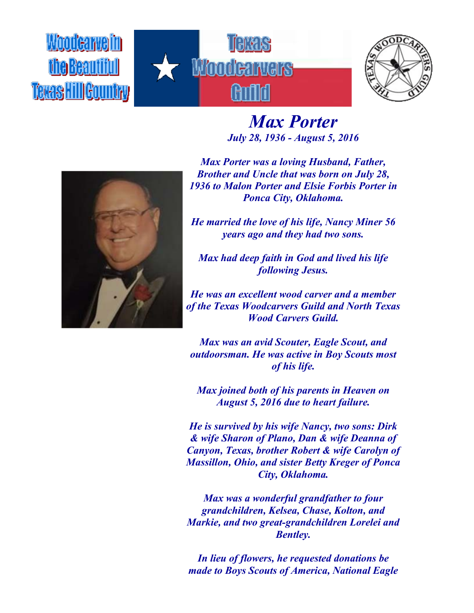**TerasH** 





*Max Porter July 28, 1936 - August 5, 2016*



*Max Porter was a loving Husband, Father, Brother and Uncle that was born on July 28, 1936 to Malon Porter and Elsie Forbis Porter in Ponca City, Oklahoma.*

*He married the love of his life, Nancy Miner 56 years ago and they had two sons.*

*Max had deep faith in God and lived his life following Jesus.*

*He was an excellent wood carver and a member of the Texas Woodcarvers Guild and North Texas Wood Carvers Guild.*

*Max was an avid Scouter, Eagle Scout, and outdoorsman. He was active in Boy Scouts most of his life.*

*Max joined both of his parents in Heaven on August 5, 2016 due to heart failure.*

*He is survived by his wife Nancy, two sons: Dirk & wife Sharon of Plano, Dan & wife Deanna of Canyon, Texas, brother Robert & wife Carolyn of Massillon, Ohio, and sister Betty Kreger of Ponca City, Oklahoma.*

*Max was a wonderful grandfather to four grandchildren, Kelsea, Chase, Kolton, and Markie, and two great-grandchildren Lorelei and Bentley.*

*In lieu of flowers, he requested donations be made to Boys Scouts of America, National Eagle*